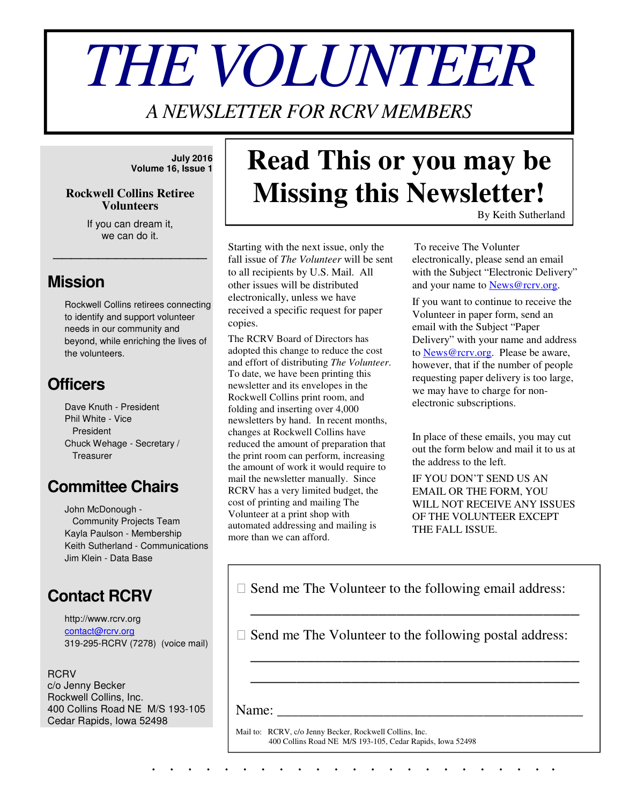# *THE VOLUNTEER*

*A NEWSLETTER FOR RCRV MEMBERS* 

**July 2016 Volume 16, Issue 1**

#### **Rockwell Collins Retiree Volunteers**

If you can dream it, we can do it.

\_\_\_\_\_\_\_\_\_\_\_\_\_\_\_\_\_

### **Mission**

Rockwell Collins retirees connecting to identify and support volunteer needs in our community and beyond, while enriching the lives of the volunteers.

## **Officers**

Dave Knuth - President Phil White - Vice President Chuck Wehage - Secretary / **Treasurer** 

## **Committee Chairs**

John McDonough - Community Projects Team Kayla Paulson - Membership Keith Sutherland - Communications Jim Klein - Data Base

## **Contact RCRV**

http://www.rcrv.org contact@rcrv.org 319-295-RCRV (7278) (voice mail)

**RCRV** c/o Jenny Becker Rockwell Collins, Inc. 400 Collins Road NE M/S 193-105 Cedar Rapids, Iowa 52498

## **Read This or you may be Missing this Newsletter!**

By Keith Sutherland

Starting with the next issue, only the fall issue of *The Volunteer* will be sent to all recipients by U.S. Mail. All other issues will be distributed electronically, unless we have received a specific request for paper copies.

The RCRV Board of Directors has adopted this change to reduce the cost and effort of distributing *The Volunteer*. To date, we have been printing this newsletter and its envelopes in the Rockwell Collins print room, and folding and inserting over 4,000 newsletters by hand. In recent months, changes at Rockwell Collins have reduced the amount of preparation that the print room can perform, increasing the amount of work it would require to mail the newsletter manually. Since RCRV has a very limited budget, the cost of printing and mailing The Volunteer at a print shop with automated addressing and mailing is more than we can afford.

To receive The Volunter electronically, please send an email with the Subject "Electronic Delivery" and your name to **News@rcrv.org**.

If you want to continue to receive the Volunteer in paper form, send an email with the Subject "Paper Delivery" with your name and address to News@rcrv.org. Please be aware, however, that if the number of people requesting paper delivery is too large, we may have to charge for nonelectronic subscriptions.

In place of these emails, you may cut out the form below and mail it to us at the address to the left.

IF YOU DON'T SEND US AN EMAIL OR THE FORM, YOU WILL NOT RECEIVE ANY ISSUES OF THE VOLUNTEER EXCEPT THE FALL ISSUE.

Send me The Volunteer to the following email address:

\_\_\_\_\_\_\_\_\_\_\_\_\_\_\_\_\_\_\_\_\_\_\_\_\_\_\_\_\_\_\_\_\_\_\_\_

\_\_\_\_\_\_\_\_\_\_\_\_\_\_\_\_\_\_\_\_\_\_\_\_\_\_\_\_\_\_\_\_\_\_\_\_

\_\_\_\_\_\_\_\_\_\_\_\_\_\_\_\_\_\_\_\_\_\_\_\_\_\_\_\_\_\_\_\_\_\_\_\_

Send me The Volunteer to the following postal address:

 $Name:$ 

Mail to: RCRV, c/o Jenny Becker, Rockwell Collins, Inc. 400 Collins Road NE M/S 193-105, Cedar Rapids, Iowa 52498

. . . . . . . . . . . . . . . . . . . . . . .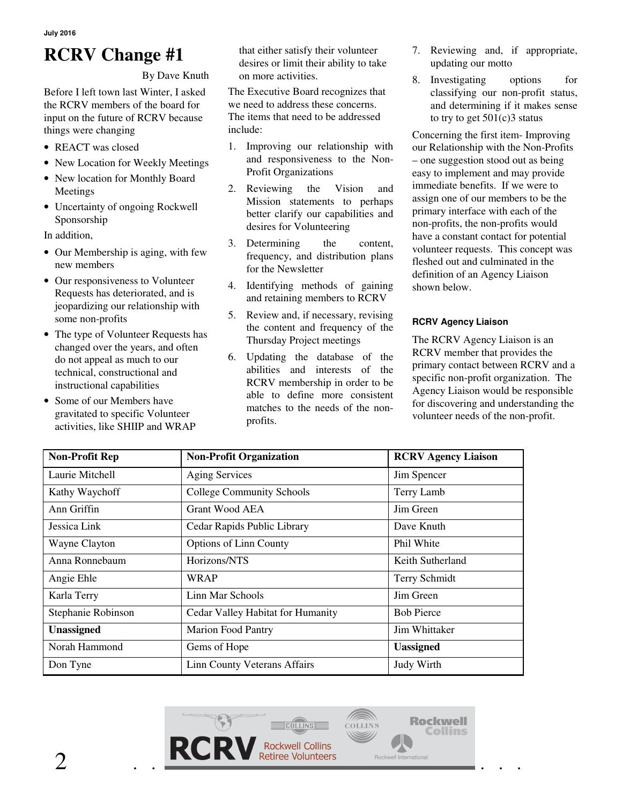**July 2016** 

## **RCRV Change #1**

By Dave Knuth

Before I left town last Winter, I asked the RCRV members of the board for input on the future of RCRV because things were changing

- REACT was closed
- New Location for Weekly Meetings
- New location for Monthly Board Meetings
- Uncertainty of ongoing Rockwell Sponsorship

In addition,

- Our Membership is aging, with few new members
- Our responsiveness to Volunteer Requests has deteriorated, and is jeopardizing our relationship with some non-profits
- The type of Volunteer Requests has changed over the years, and often do not appeal as much to our technical, constructional and instructional capabilities
- Some of our Members have gravitated to specific Volunteer activities, like SHIIP and WRAP

that either satisfy their volunteer desires or limit their ability to take on more activities.

The Executive Board recognizes that we need to address these concerns. The items that need to be addressed include:

- 1. Improving our relationship with and responsiveness to the Non-Profit Organizations
- 2. Reviewing the Vision and Mission statements to perhaps better clarify our capabilities and desires for Volunteering
- 3. Determining the content, frequency, and distribution plans for the Newsletter
- 4. Identifying methods of gaining and retaining members to RCRV
- 5. Review and, if necessary, revising the content and frequency of the Thursday Project meetings
- 6. Updating the database of the abilities and interests of the RCRV membership in order to be able to define more consistent matches to the needs of the nonprofits.
- 7. Reviewing and, if appropriate, updating our motto
- 8. Investigating options for classifying our non-profit status, and determining if it makes sense to try to get  $501(c)3$  status

Concerning the first item- Improving our Relationship with the Non-Profits – one suggestion stood out as being easy to implement and may provide immediate benefits. If we were to assign one of our members to be the primary interface with each of the non-profits, the non-profits would have a constant contact for potential volunteer requests. This concept was fleshed out and culminated in the definition of an Agency Liaison shown below.

#### **RCRV Agency Liaison**

The RCRV Agency Liaison is an RCRV member that provides the primary contact between RCRV and a specific non-profit organization. The Agency Liaison would be responsible for discovering and understanding the volunteer needs of the non-profit.

| <b>Non-Profit Rep</b> | <b>Non-Profit Organization</b>    | <b>RCRV Agency Liaison</b> |
|-----------------------|-----------------------------------|----------------------------|
| Laurie Mitchell       | <b>Aging Services</b>             | Jim Spencer                |
| Kathy Waychoff        | <b>College Community Schools</b>  | Terry Lamb                 |
| Ann Griffin           | Grant Wood AEA                    | Jim Green                  |
| Jessica Link          | Cedar Rapids Public Library       | Dave Knuth                 |
| Wayne Clayton         | <b>Options of Linn County</b>     | Phil White                 |
| Anna Ronnebaum        | Horizons/NTS                      | Keith Sutherland           |
| Angie Ehle            | WRAP                              | Terry Schmidt              |
| Karla Terry           | Linn Mar Schools                  | Jim Green                  |
| Stephanie Robinson    | Cedar Valley Habitat for Humanity | <b>Bob Pierce</b>          |
| <b>Unassigned</b>     | <b>Marion Food Pantry</b>         | Jim Whittaker              |
| Norah Hammond         | Gems of Hope                      | <b>Uassigned</b>           |
| Don Tyne              | Linn County Veterans Affairs      | Judy Wirth                 |

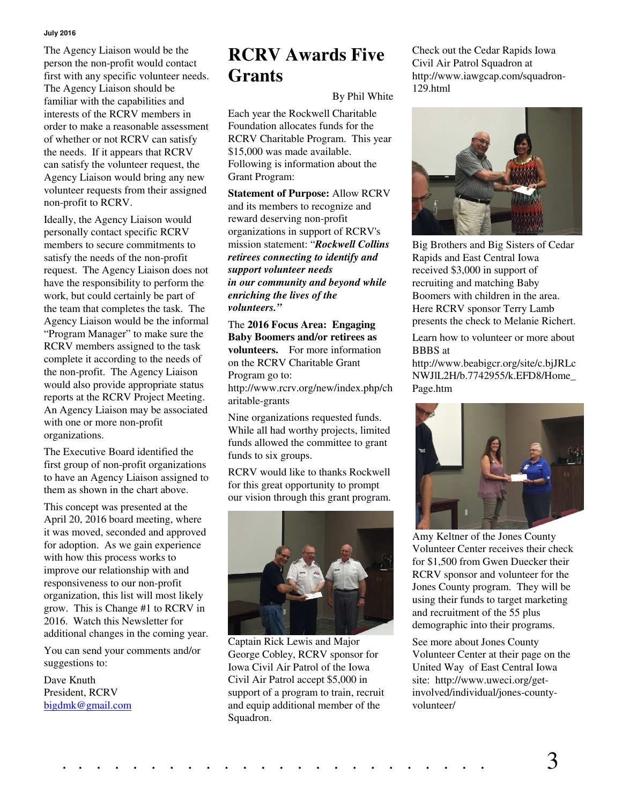#### **July 2016**

The Agency Liaison would be the person the non-profit would contact first with any specific volunteer needs. The Agency Liaison should be familiar with the capabilities and interests of the RCRV members in order to make a reasonable assessment of whether or not RCRV can satisfy the needs. If it appears that RCRV can satisfy the volunteer request, the Agency Liaison would bring any new volunteer requests from their assigned non-profit to RCRV.

Ideally, the Agency Liaison would personally contact specific RCRV members to secure commitments to satisfy the needs of the non-profit request. The Agency Liaison does not have the responsibility to perform the work, but could certainly be part of the team that completes the task. The Agency Liaison would be the informal "Program Manager" to make sure the RCRV members assigned to the task complete it according to the needs of the non-profit. The Agency Liaison would also provide appropriate status reports at the RCRV Project Meeting. An Agency Liaison may be associated with one or more non-profit organizations.

The Executive Board identified the first group of non-profit organizations to have an Agency Liaison assigned to them as shown in the chart above.

This concept was presented at the April 20, 2016 board meeting, where it was moved, seconded and approved for adoption. As we gain experience with how this process works to improve our relationship with and responsiveness to our non-profit organization, this list will most likely grow. This is Change #1 to RCRV in 2016. Watch this Newsletter for additional changes in the coming year.

You can send your comments and/or suggestions to:

Dave Knuth President, RCRV bigdmk@gmail.com

## **RCRV Awards Five Grants**

#### By Phil White

Each year the Rockwell Charitable Foundation allocates funds for the RCRV Charitable Program. This year \$15,000 was made available. Following is information about the Grant Program:

**Statement of Purpose:** Allow RCRV and its members to recognize and reward deserving non-profit organizations in support of RCRV's mission statement: "*Rockwell Collins retirees connecting to identify and support volunteer needs in our community and beyond while enriching the lives of the volunteers."*

The **2016 Focus Area: Engaging Baby Boomers and/or retirees as volunteers.** For more information on the RCRV Charitable Grant Program go to:

http://www.rcrv.org/new/index.php/ch aritable-grants

Nine organizations requested funds. While all had worthy projects, limited funds allowed the committee to grant funds to six groups.

RCRV would like to thanks Rockwell for this great opportunity to prompt our vision through this grant program.



Captain Rick Lewis and Major George Cobley, RCRV sponsor for Iowa Civil Air Patrol of the Iowa Civil Air Patrol accept \$5,000 in support of a program to train, recruit and equip additional member of the Squadron.

Check out the Cedar Rapids Iowa Civil Air Patrol Squadron at http://www.iawgcap.com/squadron-129.html



Big Brothers and Big Sisters of Cedar Rapids and East Central Iowa received \$3,000 in support of recruiting and matching Baby Boomers with children in the area. Here RCRV sponsor Terry Lamb presents the check to Melanie Richert.

Learn how to volunteer or more about BBBS at

http://www.beabigcr.org/site/c.bjJRLc NWJlL2H/b.7742955/k.EFD8/Home\_ Page.htm



Amy Keltner of the Jones County Volunteer Center receives their check for \$1,500 from Gwen Duecker their RCRV sponsor and volunteer for the Jones County program. They will be using their funds to target marketing and recruitment of the 55 plus demographic into their programs.

See more about Jones County Volunteer Center at their page on the United Way of East Central Iowa site: http://www.uweci.org/getinvolved/individual/jones-countyvolunteer/